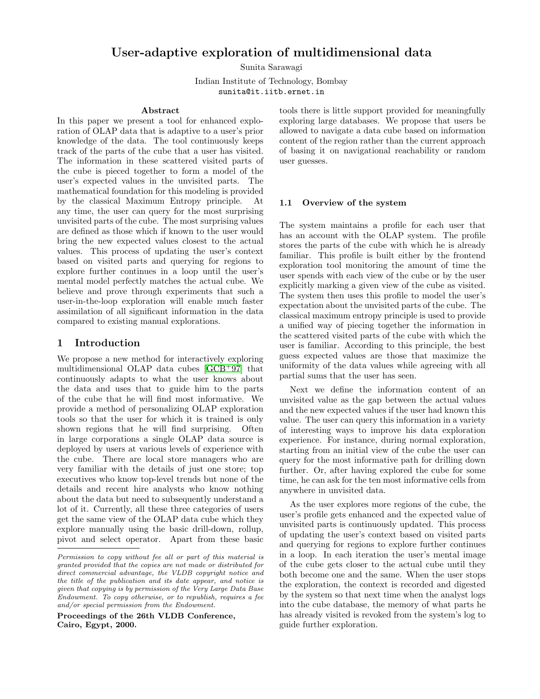# User-adaptive exploration of multidimensional data

Sunita Sarawagi

Indian Institute of Technology, Bombay sunita@it.iitb.ernet.in

#### Abstract

In this paper we present a tool for enhanced exploration of OLAP data that is adaptive to a user's prior knowledge of the data. The tool continuously keeps track of the parts of the cube that a user has visited. The information in these scattered visited parts of the cube is pieced together to form a model of the user's expected values in the unvisited parts. The mathematical foundation for this modeling is provided by the classical Maximum Entropy principle. At any time, the user can query for the most surprising unvisited parts of the cube. The most surprising values are defined as those which if known to the user would bring the new expected values closest to the actual values. This process of updating the user's context based on visited parts and querying for regions to explore further continues in a loop until the user's mental model perfectly matches the actual cube. We believe and prove through experiments that such a user-in-the-loop exploration will enable much faster assimilation of all significant information in the data compared to existing manual explorations.

### 1 Introduction

We propose a new method for interactively exploring multidimensional OLAP data cubes [\[GCB](#page-9-0)<sup>+</sup>97] that continuously adapts to what the user knows about the data and uses that to guide him to the parts of the cube that he will find most informative. We provide a method of personalizing OLAP exploration tools so that the user for which it is trained is only shown regions that he will find surprising. Often in large corporations a single OLAP data source is deployed by users at various levels of experience with the cube. There are local store managers who are very familiar with the details of just one store; top executives who know top-level trends but none of the details and recent hire analysts who know nothing about the data but need to subsequently understand a lot of it. Currently, all these three categories of users get the same view of the OLAP data cube which they explore manually using the basic drill-down, rollup, pivot and select operator. Apart from these basic

Proceedings of the 26th VLDB Conference, Cairo, Egypt, 2000.

tools there is little support provided for meaningfully exploring large databases. We propose that users be allowed to navigate a data cube based on information content of the region rather than the current approach of basing it on navigational reachability or random user guesses.

#### <span id="page-0-0"></span>1.1 Overview of the system

The system maintains a profile for each user that has an account with the OLAP system. The profile stores the parts of the cube with which he is already familiar. This profile is built either by the frontend exploration tool monitoring the amount of time the user spends with each view of the cube or by the user explicitly marking a given view of the cube as visited. The system then uses this profile to model the user's expectation about the unvisited parts of the cube. The classical maximum entropy principle is used to provide a unified way of piecing together the information in the scattered visited parts of the cube with which the user is familiar. According to this principle, the best guess expected values are those that maximize the uniformity of the data values while agreeing with all partial sums that the user has seen.

Next we define the information content of an unvisited value as the gap between the actual values and the new expected values if the user had known this value. The user can query this information in a variety of interesting ways to improve his data exploration experience. For instance, during normal exploration, starting from an initial view of the cube the user can query for the most informative path for drilling down further. Or, after having explored the cube for some time, he can ask for the ten most informative cells from anywhere in unvisited data.

As the user explores more regions of the cube, the user's profile gets enhanced and the expected value of unvisited parts is continuously updated. This process of updating the user's context based on visited parts and querying for regions to explore further continues in a loop. In each iteration the user's mental image of the cube gets closer to the actual cube until they both become one and the same. When the user stops the exploration, the context is recorded and digested by the system so that next time when the analyst logs into the cube database, the memory of what parts he has already visited is revoked from the system's log to guide further exploration.

Permission to copy without fee all or part of this material is granted provided that the copies are not made or distributed for direct commercial advantage, the VLDB copyright notice and the title of the publication and its date appear, and notice is given that copying is by permission of the Very Large Data Base Endowment. To copy otherwise, or to republish, requires a fee and/or special permission from the Endowment.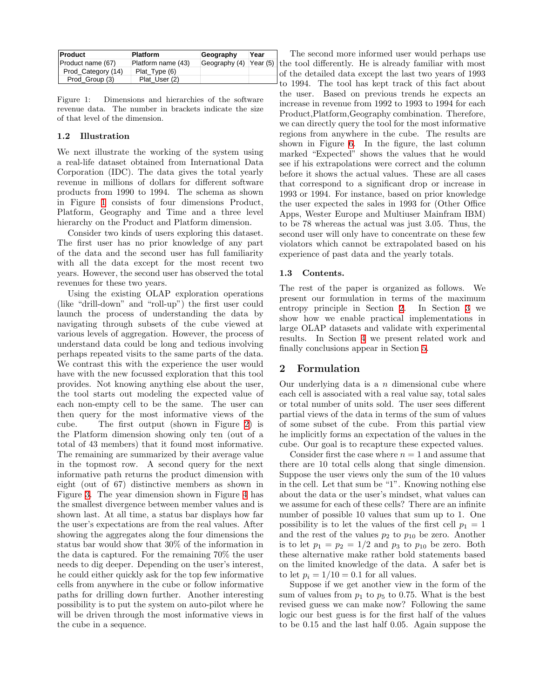| <b>Product</b>     | <b>Platform</b>    | Geography              | Year |
|--------------------|--------------------|------------------------|------|
| Product name (67)  | Platform name (43) | Geography (4) Year (5) |      |
| Prod Category (14) | Plat Type (6)      |                        |      |
| Prod Group (3)     | Plat User (2)      |                        |      |

<span id="page-1-0"></span>Figure 1: Dimensions and hierarchies of the software revenue data. The number in brackets indicate the size of that level of the dimension.

### <span id="page-1-2"></span>1.2 Illustration

We next illustrate the working of the system using a real-life dataset obtained from International Data Corporation (IDC). The data gives the total yearly revenue in millions of dollars for different software products from 1990 to 1994. The schema as shown in Figure [1](#page-1-0) consists of four dimensions Product, Platform, Geography and Time and a three level hierarchy on the Product and Platform dimension.

Consider two kinds of users exploring this dataset. The first user has no prior knowledge of any part of the data and the second user has full familiarity with all the data except for the most recent two years. However, the second user has observed the total revenues for these two years.

Using the existing OLAP exploration operations (like "drill-down" and "roll-up") the first user could launch the process of understanding the data by navigating through subsets of the cube viewed at various levels of aggregation. However, the process of understand data could be long and tedious involving perhaps repeated visits to the same parts of the data. We contrast this with the experience the user would have with the new focussed exploration that this tool provides. Not knowing anything else about the user, the tool starts out modeling the expected value of each non-empty cell to be the same. The user can then query for the most informative views of the cube. The first output (shown in Figure [2](#page-2-0)) is the Platform dimension showing only ten (out of a total of 43 members) that it found most informative. The remaining are summarized by their average value in the topmost row. A second query for the next informative path returns the product dimension with eight (out of 67) distinctive members as shown in Figure [3.](#page-2-1) The year dimension shown in Figure [4](#page-2-2) has the smallest divergence between member values and is shown last. At all time, a status bar displays how far the user's expectations are from the real values. After showing the aggregates along the four dimensions the status bar would show that 30% of the information in the data is captured. For the remaining 70% the user needs to dig deeper. Depending on the user's interest, he could either quickly ask for the top few informative cells from anywhere in the cube or follow informative paths for drilling down further. Another interesting possibility is to put the system on auto-pilot where he will be driven through the most informative views in the cube in a sequence.

The second more informed user would perhaps use the tool differently. He is already familiar with most of the detailed data except the last two years of 1993 to 1994. The tool has kept track of this fact about the user. Based on previous trends he expects an increase in revenue from 1992 to 1993 to 1994 for each Product,Platform,Geography combination. Therefore, we can directly query the tool for the most informative regions from anywhere in the cube. The results are shown in Figure [6.](#page-2-3) In the figure, the last column marked "Expected" shows the values that he would see if his extrapolations were correct and the column before it shows the actual values. These are all cases that correspond to a significant drop or increase in 1993 or 1994. For instance, based on prior knowledge the user expected the sales in 1993 for (Other Office Apps, Wester Europe and Multiuser Mainfram IBM) to be 78 whereas the actual was just 3.05. Thus, the second user will only have to concentrate on these few violators which cannot be extrapolated based on his experience of past data and the yearly totals.

### 1.3 Contents.

The rest of the paper is organized as follows. We present our formulation in terms of the maximum entropy principle in Section [2.](#page-1-1) In Section [3](#page-3-0) we show how we enable practical implementations in large OLAP datasets and validate with experimental results. In Section [4](#page-8-0) we present related work and finally conclusions appear in Section [5.](#page-9-1)

# <span id="page-1-1"></span>2 Formulation

Our underlying data is a  $n$  dimensional cube where each cell is associated with a real value say, total sales or total number of units sold. The user sees different partial views of the data in terms of the sum of values of some subset of the cube. From this partial view he implicitly forms an expectation of the values in the cube. Our goal is to recapture these expected values.

Consider first the case where  $n = 1$  and assume that there are 10 total cells along that single dimension. Suppose the user views only the sum of the 10 values in the cell. Let that sum be "1". Knowing nothing else about the data or the user's mindset, what values can we assume for each of these cells? There are an infinite number of possible 10 values that sum up to 1. One possibility is to let the values of the first cell  $p_1 = 1$ and the rest of the values  $p_2$  to  $p_{10}$  be zero. Another is to let  $p_1 = p_2 = 1/2$  and  $p_3$  to  $p_{10}$  be zero. Both these alternative make rather bold statements based on the limited knowledge of the data. A safer bet is to let  $p_i = 1/10 = 0.1$  for all values.

Suppose if we get another view in the form of the sum of values from  $p_1$  to  $p_5$  to 0.75. What is the best revised guess we can make now? Following the same logic our best guess is for the first half of the values to be 0.15 and the last half 0.05. Again suppose the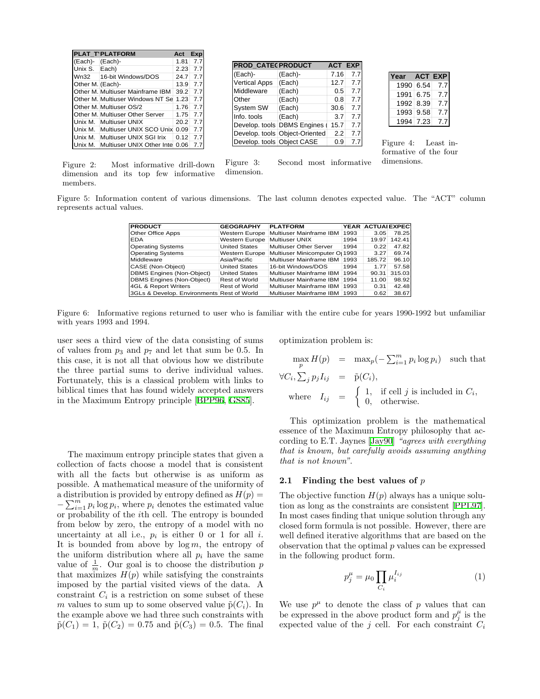|                  | PLAT T'PLATFORM                  | Act  | Exp |
|------------------|----------------------------------|------|-----|
| (Each)-          | (Each)-                          | 1.81 | 7.7 |
| Unix S.          | Each)                            | 2.23 | 7.7 |
| Wn32             | 16-bit Windows/DOS               | 24.7 | 7.7 |
| Other M. (Each)- |                                  | 13.9 | 7.7 |
|                  | Other M. Multiuser Mainframe IBM | 39.2 | 7.7 |
|                  | Other M. Multiuser Windows NT Se | 1.23 | 7.7 |
|                  | Other M. Multiuser OS/2          | 1.76 | 7.7 |
|                  | Other M. Multiuser Other Server  | 1.75 | 7.7 |
| Unix M.          | Multiuser UNIX                   | 20.2 | 7.7 |
| Unix M.          | Multiuser UNIX SCO Unix          | 0.09 | 7.7 |
| Unix M.          | Multiuser UNIX SGI Irix          | 0.12 | 7.7 |
| Unix M.          | Multiuser UNIX Other Inte        | 0.06 |     |

| <b>PROD_CATECPRODUCT</b>   | <b>ACT EXP</b>                 |      |     |
|----------------------------|--------------------------------|------|-----|
| (Each)-                    | (Each)-                        | 7.16 | 7.7 |
| <b>Vertical Apps</b>       | (Each)                         | 12.7 | 7.7 |
| Middleware                 | (Each)                         | 0.5  | 7.7 |
| Other                      | (Each)                         | 0.8  | 7.7 |
| <b>System SW</b>           | (Each)                         | 30.6 | 7.7 |
| Info. tools                | (Each)                         | 3.7  | 7.7 |
|                            | Develop. tools DBMS Engines    | 15.7 | 7.7 |
|                            | Develop. tools Object-Oriented | 2.2  | 7.7 |
| Develop. tools Object CASE |                                | 0.9  | 7.7 |

Figure 3: Second most informative

| Year | <b>ACT EXP</b> |     |
|------|----------------|-----|
| 1990 | 6.54           | 7.7 |
| 1991 | 6.75           | 7.7 |
| 1992 | 8.39           | 7.7 |
| 1993 | 9.58           | 7.7 |
| 1994 | 7.23           | 77  |

<span id="page-2-2"></span>Figure 4: Least informative of the four dimensions.

<span id="page-2-0"></span>Figure 2: Most informative drill-down dimension and its top few informative members.

Figure 5: Information content of various dimensions. The last column denotes expected value. The "ACT" column represents actual values.

<span id="page-2-1"></span>dimension.

| <b>PRODUCT</b>                             | <b>GEOGRAPHY</b>              | <b>PLATFORM</b>                                 |      | YEAR ACTUAI EXPECT |        |
|--------------------------------------------|-------------------------------|-------------------------------------------------|------|--------------------|--------|
| Other Office Apps                          |                               | Western Europe   Multiuser Mainframe IBM        | 1993 | 3.05               | 78.25  |
| <b>EDA</b>                                 | Western Europe Multiuser UNIX |                                                 | 1994 | 19.97              | 142.41 |
| <b>Operating Systems</b>                   | <b>United States</b>          | Multiuser Other Server                          | 1994 | 0.22               | 47.82  |
| <b>Operating Systems</b>                   |                               | Western Europe   Multiuser Minicomputer Or 1993 |      | 3.27               | 69.74  |
| Middleware                                 | Asia/Pacific                  | Multiuser Mainframe IBM                         | 1993 | 185.72             | 96.10  |
| CASE (Non-Object)                          | <b>United States</b>          | 16-bit Windows/DOS                              | 1994 | 1.77               | 57.58  |
| <b>DBMS Engines (Non-Object)</b>           | <b>United States</b>          | Multiuser Mainframe IBM                         | 1994 | 90.31              | 315.03 |
| <b>DBMS Engines (Non-Object)</b>           | Rest of World                 | Multiuser Mainframe IBM                         | 1994 | 11.00              | 98.92  |
| 4GL & Report Writers                       | Rest of World                 | Multiuser Mainframe IBM                         | 1993 | 0.31               | 42.48  |
| 3GLs & Develop. Environments Rest of World |                               | Multiuser Mainframe IBM                         | 1993 | 0.62               | 38.67  |

<span id="page-2-3"></span>Figure 6: Informative regions returned to user who is familiar with the entire cube for years 1990-1992 but unfamiliar with years 1993 and 1994.

user sees a third view of the data consisting of sums of values from  $p_3$  and  $p_7$  and let that sum be 0.5. In this case, it is not all that obvious how we distribute the three partial sums to derive individual values. Fortunately, this is a classical problem with links to biblical times that has found widely accepted answers in the Maximum Entropy principle [\[BPP96,](#page-9-2) [GS85](#page-9-3)].

The maximum entropy principle states that given a collection of facts choose a model that is consistent with all the facts but otherwise is as uniform as possible. A mathematical measure of the uniformity of a distribution is provided by entropy defined as  $H(p)$  =  $-\sum_{i=1}^m p_i \log p_i$ , where  $p_i$  denotes the estimated value or probability of the ith cell. The entropy is bounded from below by zero, the entropy of a model with no uncertainty at all i.e.,  $p_i$  is either 0 or 1 for all *i*. It is bounded from above by  $\log m$ , the entropy of the uniform distribution where all  $p_i$  have the same value of  $\frac{1}{m}$ . Our goal is to choose the distribution p that maximizes  $H(p)$  while satisfying the constraints imposed by the partial visited views of the data. A constraint  $C_i$  is a restriction on some subset of these m values to sum up to some observed value  $\tilde{p}(C_i)$ . In the example above we had three such constraints with  $\tilde{p}(C_1) = 1$ ,  $\tilde{p}(C_2) = 0.75$  and  $\tilde{p}(C_3) = 0.5$ . The final

optimization problem is:

$$
\max_{p} H(p) = \max_{p} (-\sum_{i=1}^{m} p_i \log p_i) \text{ such that}
$$
  

$$
\forall C_i, \sum_{j} p_j I_{ij} = \tilde{p}(C_i),
$$
  
where  $I_{ij} = \begin{cases} 1, & \text{if cell } j \text{ is included in } C_i, \\ 0, & \text{otherwise.} \end{cases}$ 

This optimization problem is the mathematical essence of the Maximum Entropy philosophy that according to E.T. Jaynes [\[Jay90](#page-9-4)] "agrees with everything that is known, but carefully avoids assuming anything that is not known".

#### 2.1 Finding the best values of  $p$

The objective function  $H(p)$  always has a unique solution as long as the constraints are consistent[[PPL97](#page-9-5)]. In most cases finding that unique solution through any closed form formula is not possible. However, there are well defined iterative algorithms that are based on the observation that the optimal  $p$  values can be expressed in the following product form.

<span id="page-2-4"></span>
$$
p_j^{\mu} = \mu_0 \prod_{C_i} \mu_i^{I_{ij}} \tag{1}
$$

We use  $p^{\mu}$  to denote the class of p values that can be expressed in the above product form and  $p_j^{\mu}$  is the expected value of the j cell. For each constraint  $C_i$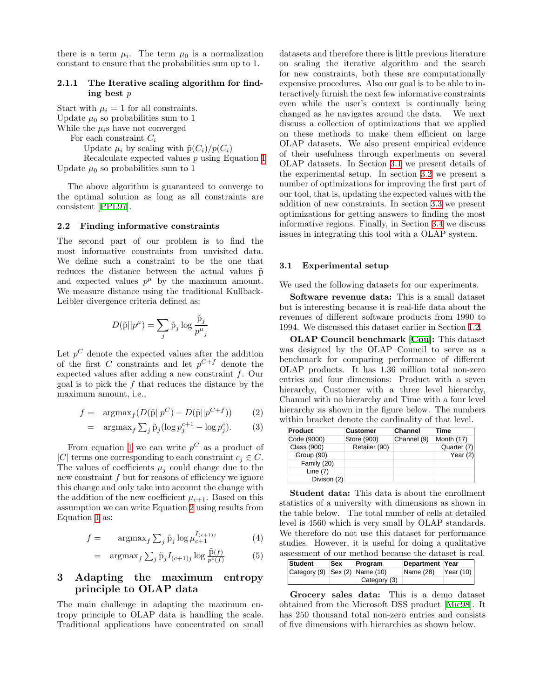there is a term  $\mu_i$ . The term  $\mu_0$  is a normalization constant to ensure that the probabilities sum up to 1.

#### <span id="page-3-3"></span>2.1.1 The Iterative scaling algorithm for finding best p

Start with  $\mu_i = 1$  for all constraints. Update  $\mu_0$  so probabilities sum to 1 While the  $\mu_i$ s have not converged For each constraint  $C_i$ Update  $\mu_i$  by scaling with  $\tilde{p}(C_i)/p(C_i)$ Recalculate expected values p using Equation [1](#page-2-4)

Update  $\mu_0$  so probabilities sum to 1

The above algorithm is guaranteed to converge to the optimal solution as long as all constraints are consistent[[PPL97\]](#page-9-5).

#### 2.2 Finding informative constraints

The second part of our problem is to find the most informative constraints from unvisited data. We define such a constraint to be the one that reduces the distance between the actual values  $\tilde{p}$ and expected values  $p^{\mu}$  by the maximum amount. We measure distance using the traditional Kullback-Leibler divergence criteria defined as:

$$
D(\tilde{\textbf{p}}||p^\mu) = \sum_j \tilde{\textbf{p}}_j \log \frac{\tilde{\textbf{p}}_j}{p^\mu{}_j}
$$

Let  $p^C$  denote the expected values after the addition of the first C constraints and let  $p^{C+f}$  denote the expected values after adding a new constraint f. Our goal is to pick the f that reduces the distance by the maximum amount, i.e.,

<span id="page-3-1"></span>
$$
f = \operatorname{argmax}_{f} (D(\tilde{\mathbf{p}}||p^{C}) - D(\tilde{\mathbf{p}}||p^{C+f})) \qquad (2)
$$

$$
= \arg\max_{f} \sum_{j} \tilde{p}_j (\log p_j^{c+1} - \log p_j^c). \tag{3}
$$

From equation [1](#page-2-4) we can write  $p^C$  as a product of |C| terms one corresponding to each constraint  $c_i \in C$ . The values of coefficients  $\mu_j$  could change due to the new constraint f but for reasons of efficiency we ignore this change and only take into account the change with the addition of the new coefficient  $\mu_{c+1}$ . Based on this assumption we can write Equation [2](#page-3-1) using results from Equation [1](#page-2-4) as:

<span id="page-3-4"></span>
$$
f = \operatorname{argmax}_{f} \sum_{j} \tilde{p}_j \log \mu_{c+1}^{I_{(c+1)j}} \tag{4}
$$

$$
= \arg\max_{f} \sum_{j} \tilde{p}_j I_{(c+1)j} \log \frac{\tilde{p}(f)}{p^c(f)} \tag{5}
$$

# <span id="page-3-0"></span>3 Adapting the maximum entropy principle to OLAP data

The main challenge in adapting the maximum entropy principle to OLAP data is handling the scale. Traditional applications have concentrated on small datasets and therefore there is little previous literature on scaling the iterative algorithm and the search for new constraints, both these are computationally expensive procedures. Also our goal is to be able to interactively furnish the next few informative constraints even while the user's context is continually being changed as he navigates around the data. We next discuss a collection of optimizations that we applied on these methods to make them efficient on large OLAP datasets. We also present empirical evidence of their usefulness through experiments on several OLAP datasets. In Section [3.1](#page-3-2) we present details of the experimental setup. In section [3.2](#page-4-0) we present a number of optimizations for improving the first part of our tool, that is, updating the expected values with the addition of new constraints. In section [3.3](#page-6-0) we present optimizations for getting answers to finding the most informative regions. Finally, in Section [3.4](#page-7-0) we discuss issues in integrating this tool with a OLAP system.

### <span id="page-3-2"></span>3.1 Experimental setup

We used the following datasets for our experiments.

Software revenue data: This is a small dataset but is interesting because it is real-life data about the revenues of different software products from 1990 to 1994. We discussed this dataset earlier in Section [1.2.](#page-1-2)

OLAP Council benchmark [\[Cou\]](#page-9-6): This dataset was designed by the OLAP Council to serve as a benchmark for comparing performance of different OLAP products. It has 1.36 million total non-zero entries and four dimensions: Product with a seven hierarchy, Customer with a three level hierarchy, Channel with no hierarchy and Time with a four level hierarchy as shown in the figure below. The numbers within bracket denote the cardinality of that level.

| Product     | Customer      | <b>Channel</b> | Time        |
|-------------|---------------|----------------|-------------|
| Code (9000) | Store (900)   | Channel (9)    | Month (17)  |
| Class (900) | Retailer (90) |                | Quarter (7) |
| Group (90)  |               |                | Year $(2)$  |
| Family (20) |               |                |             |
| Line $(7)$  |               |                |             |
| Divison (2) |               |                |             |

Student data: This data is about the enrollment statistics of a university with dimensions as shown in the table below. The total number of cells at detailed level is 4560 which is very small by OLAP standards. We therefore do not use this dataset for performance studies. However, it is useful for doing a qualitative assessment of our method because the dataset is real.

| Student                        | <b>Sex</b> | Program      | Department Year |          |
|--------------------------------|------------|--------------|-----------------|----------|
| Category (9) Sex (2) Name (10) |            |              | Name (28)       | Year(10) |
|                                |            | Category (3) |                 |          |

Grocery sales data: This is a demo dataset obtained from the Microsoft DSS product [\[Mic98\]](#page-9-7). It has 250 thousand total non-zero entries and consists of five dimensions with hierarchies as shown below.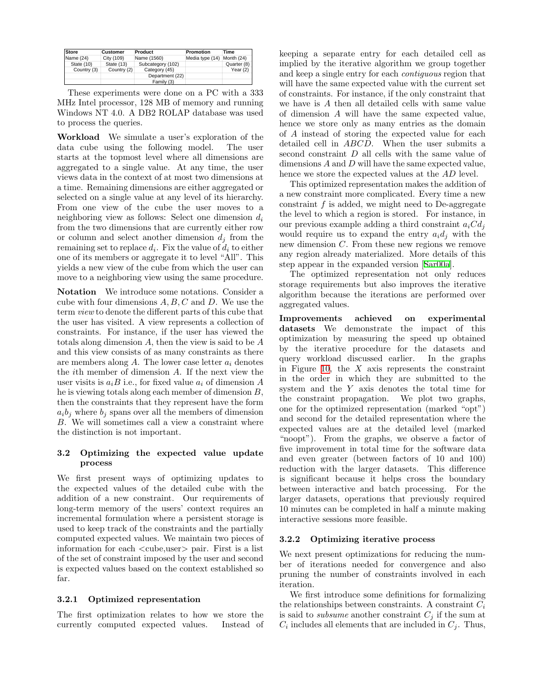| <b>Store</b> | <b>Customer</b> | Product           | Promotion       | Time        |
|--------------|-----------------|-------------------|-----------------|-------------|
| Name (24)    | City (109)      | Name (1560)       | Media type (14) | Month (24)  |
| State (10)   | State (13)      | Subcategory (102) |                 | Quarter (8) |
| Country (3)  | Country (2)     | Category (45)     |                 | Year $(2)$  |
|              |                 | Department (22)   |                 |             |
|              |                 | Family (3)        |                 |             |

These experiments were done on a PC with a 333 MHz Intel processor, 128 MB of memory and running Windows NT 4.0. A DB2 ROLAP database was used to process the queries.

Workload We simulate a user's exploration of the data cube using the following model. The user starts at the topmost level where all dimensions are aggregated to a single value. At any time, the user views data in the context of at most two dimensions at a time. Remaining dimensions are either aggregated or selected on a single value at any level of its hierarchy. From one view of the cube the user moves to a neighboring view as follows: Select one dimension  $d_i$ from the two dimensions that are currently either row or column and select another dimension  $d_i$  from the remaining set to replace  $d_i$ . Fix the value of  $d_i$  to either one of its members or aggregate it to level "All". This yields a new view of the cube from which the user can move to a neighboring view using the same procedure.

Notation We introduce some notations. Consider a cube with four dimensions  $A, B, C$  and  $D$ . We use the term view to denote the different parts of this cube that the user has visited. A view represents a collection of constraints. For instance, if the user has viewed the totals along dimension A, then the view is said to be A and this view consists of as many constraints as there are members along  $A$ . The lower case letter  $a_i$  denotes the ith member of dimension A. If the next view the user visits is  $a_iB$  i.e., for fixed value  $a_i$  of dimension A he is viewing totals along each member of dimension B, then the constraints that they represent have the form  $a_i b_j$  where  $b_j$  spans over all the members of dimension B. We will sometimes call a view a constraint where the distinction is not important.

### <span id="page-4-0"></span>3.2 Optimizing the expected value update process

We first present ways of optimizing updates to the expected values of the detailed cube with the addition of a new constraint. Our requirements of long-term memory of the users' context requires an incremental formulation where a persistent storage is used to keep track of the constraints and the partially computed expected values. We maintain two pieces of information for each <cube,user> pair. First is a list of the set of constraint imposed by the user and second is expected values based on the context established so far.

# <span id="page-4-1"></span>3.2.1 Optimized representation

The first optimization relates to how we store the currently computed expected values. Instead of keeping a separate entry for each detailed cell as implied by the iterative algorithm we group together and keep a single entry for each contiguous region that will have the same expected value with the current set of constraints. For instance, if the only constraint that we have is A then all detailed cells with same value of dimension A will have the same expected value, hence we store only as many entries as the domain of A instead of storing the expected value for each detailed cell in ABCD. When the user submits a second constraint D all cells with the same value of dimensions A and D will have the same expected value, hence we store the expected values at the AD level.

This optimized representation makes the addition of a new constraint more complicated. Every time a new constraint  $f$  is added, we might need to De-aggregate the level to which a region is stored. For instance, in our previous example adding a third constraint  $a_iCd_j$ would require us to expand the entry  $a_i d_i$  with the new dimension C. From these new regions we remove any region already materialized. More details of this step appear in the expanded version[[Sar00a](#page-9-8)].

The optimized representation not only reduces storage requirements but also improves the iterative algorithm because the iterations are performed over aggregated values.

Improvements achieved on experimental datasets We demonstrate the impact of this optimization by measuring the speed up obtained by the iterative procedure for the datasets and query workload discussed earlier. In the graphs in Figure [10](#page-5-0), the  $X$  axis represents the constraint in the order in which they are submitted to the system and the Y axis denotes the total time for the constraint propagation. We plot two graphs, one for the optimized representation (marked "opt") and second for the detailed representation where the expected values are at the detailed level (marked "noopt"). From the graphs, we observe a factor of five improvement in total time for the software data and even greater (between factors of 10 and 100) reduction with the larger datasets. This difference is significant because it helps cross the boundary between interactive and batch processing. For the larger datasets, operations that previously required 10 minutes can be completed in half a minute making interactive sessions more feasible.

### 3.2.2 Optimizing iterative process

We next present optimizations for reducing the number of iterations needed for convergence and also pruning the number of constraints involved in each iteration.

We first introduce some definitions for formalizing the relationships between constraints. A constraint  $C_i$ is said to *subsume* another constraint  $C_j$  if the sum at  $C_i$  includes all elements that are included in  $C_j$ . Thus,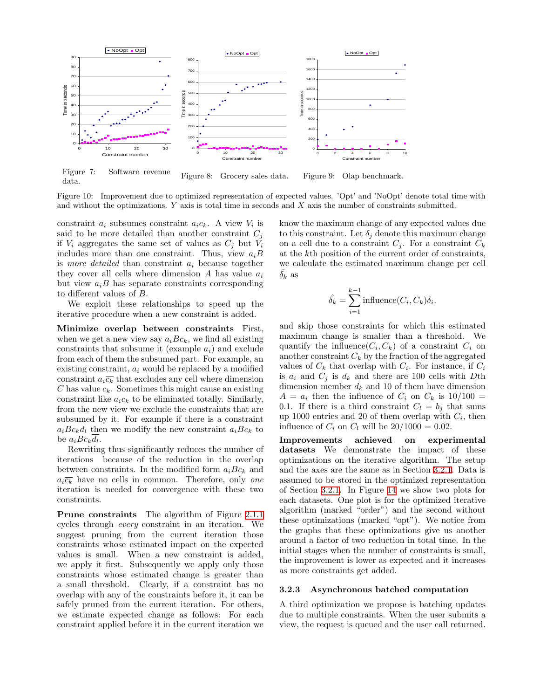

data. Figure 8: Grocery sales data. Figure 9: Olap benchmark.

<span id="page-5-0"></span>Figure 10: Improvement due to optimized representation of expected values. 'Opt' and 'NoOpt' denote total time with and without the optimizations.  $Y$  axis is total time in seconds and  $X$  axis the number of constraints submitted.

constraint  $a_i$  subsumes constraint  $a_i c_k$ . A view  $V_i$  is said to be more detailed than another constraint  $C_j$ if  $V_i$  aggregates the same set of values as  $C_j$  but  $V_i$ includes more than one constraint. Thus, view  $a_iB$ is more detailed than constraint  $a_i$  because together they cover all cells where dimension A has value  $a_i$ but view  $a_i B$  has separate constraints corresponding to different values of B.

We exploit these relationships to speed up the iterative procedure when a new constraint is added.

Minimize overlap between constraints First, when we get a new view say  $a_i B c_k$ , we find all existing constraints that subsume it (example  $a_i$ ) and exclude from each of them the subsumed part. For example, an existing constraint,  $a_i$  would be replaced by a modified constraint  $a_i\overline{c_k}$  that excludes any cell where dimension C has value  $c_k$ . Sometimes this might cause an existing constraint like  $a_i c_k$  to be eliminated totally. Similarly, from the new view we exclude the constraints that are subsumed by it. For example if there is a constraint  $a_iBc_kd_l$  then we modify the new constraint  $a_iBc_k$  to be  $a_i B c_k d_l$ .

Rewriting thus significantly reduces the number of iterations because of the reduction in the overlap between constraints. In the modified form  $a_i B c_k$  and  $a_i\overline{c_k}$  have no cells in common. Therefore, only one iteration is needed for convergence with these two constraints.

Prune constraints The algorithm of Figure [2.1.1](#page-3-3) cycles through every constraint in an iteration. We suggest pruning from the current iteration those constraints whose estimated impact on the expected values is small. When a new constraint is added, we apply it first. Subsequently we apply only those constraints whose estimated change is greater than a small threshold. Clearly, if a constraint has no overlap with any of the constraints before it, it can be safely pruned from the current iteration. For others, we estimate expected change as follows: For each constraint applied before it in the current iteration we

know the maximum change of any expected values due to this constraint. Let  $\delta_i$  denote this maximum change on a cell due to a constraint  $C_i$ . For a constraint  $C_k$ at the kth position of the current order of constraints, we calculate the estimated maximum change per cell  $\delta_k$  as

$$
\hat{\delta_k} = \sum_{i=1}^{k-1} \text{influence}(C_i, C_k)\delta_i.
$$

and skip those constraints for which this estimated maximum change is smaller than a threshold. We quantify the influence  $(C_i, C_k)$  of a constraint  $C_i$  on another constraint  $C_k$  by the fraction of the aggregated values of  $C_k$  that overlap with  $C_i$ . For instance, if  $C_i$ is  $a_i$  and  $C_j$  is  $d_k$  and there are 100 cells with Dth dimension member  $d_k$  and 10 of them have dimension  $A = a_i$  then the influence of  $C_i$  on  $C_k$  is 10/100 = 0.1. If there is a third constraint  $C_l = b_j$  that sums up 1000 entries and 20 of them overlap with  $C_i$ , then influence of  $C_i$  on  $C_l$  will be  $20/1000 = 0.02$ .

Improvements achieved on experimental datasets We demonstrate the impact of these optimizations on the iterative algorithm. The setup and the axes are the same as in Section [3.2.1](#page-4-1). Data is assumed to be stored in the optimized representation of Section [3.2.1.](#page-4-1) In Figure [14](#page-6-1) we show two plots for each datasets. One plot is for the optimized iterative algorithm (marked "order") and the second without these optimizations (marked "opt"). We notice from the graphs that these optimizations give us another around a factor of two reduction in total time. In the initial stages when the number of constraints is small, the improvement is lower as expected and it increases as more constraints get added.

#### 3.2.3 Asynchronous batched computation

A third optimization we propose is batching updates due to multiple constraints. When the user submits a view, the request is queued and the user call returned.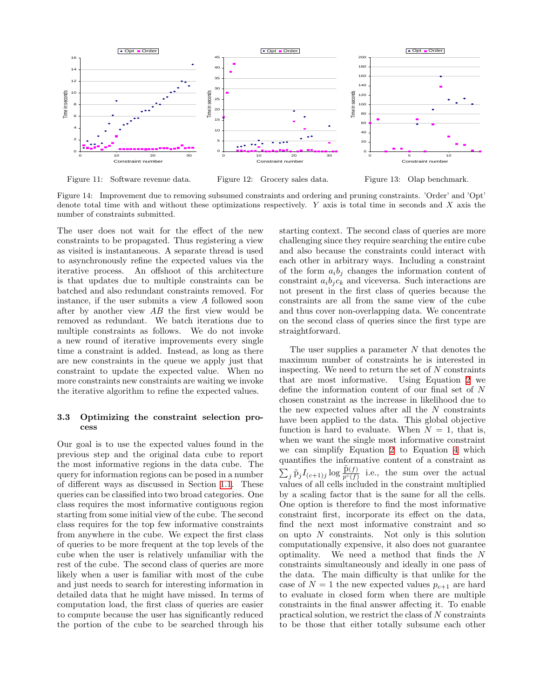

<span id="page-6-1"></span>Figure 11: Software revenue data.

Figure 12: Grocery sales data.

Figure 13: Olap benchmark.

Figure 14: Improvement due to removing subsumed constraints and ordering and pruning constraints. 'Order' and 'Opt' denote total time with and without these optimizations respectively. Y axis is total time in seconds and X axis the number of constraints submitted.

The user does not wait for the effect of the new constraints to be propagated. Thus registering a view as visited is instantaneous. A separate thread is used to asynchronously refine the expected values via the iterative process. An offshoot of this architecture is that updates due to multiple constraints can be batched and also redundant constraints removed. For instance, if the user submits a view A followed soon after by another view  $AB$  the first view would be removed as redundant. We batch iterations due to multiple constraints as follows. We do not invoke a new round of iterative improvements every single time a constraint is added. Instead, as long as there are new constraints in the queue we apply just that constraint to update the expected value. When no more constraints new constraints are waiting we invoke the iterative algorithm to refine the expected values.

### <span id="page-6-0"></span>3.3 Optimizing the constraint selection process

Our goal is to use the expected values found in the previous step and the original data cube to report the most informative regions in the data cube. The query for information regions can be posed in a number of different ways as discussed in Section [1.1.](#page-0-0) These queries can be classified into two broad categories. One class requires the most informative contiguous region starting from some initial view of the cube. The second class requires for the top few informative constraints from anywhere in the cube. We expect the first class of queries to be more frequent at the top levels of the cube when the user is relatively unfamiliar with the rest of the cube. The second class of queries are more likely when a user is familiar with most of the cube and just needs to search for interesting information in detailed data that he might have missed. In terms of computation load, the first class of queries are easier to compute because the user has significantly reduced the portion of the cube to be searched through his

starting context. The second class of queries are more challenging since they require searching the entire cube and also because the constraints could interact with each other in arbitrary ways. Including a constraint of the form  $a_i b_j$  changes the information content of constraint  $a_i b_j c_k$  and viceversa. Such interactions are not present in the first class of queries because the constraints are all from the same view of the cube and thus cover non-overlapping data. We concentrate on the second class of queries since the first type are straightforward.

The user supplies a parameter  $N$  that denotes the maximum number of constraints he is interested in inspecting. We need to return the set of  $N$  constraints that are most informative. Using Equation [2](#page-3-1) we define the information content of our final set of N chosen constraint as the increase in likelihood due to the new expected values after all the  $N$  constraints have been applied to the data. This global objective function is hard to evaluate. When  $N = 1$ , that is, when we want the single most informative constraint we can simplify Equation [2](#page-3-1) to Equation [4](#page-3-4) which quantifies the informative content of a constraint as  $\sum_j \tilde{p}_j I_{(c+1)j} \log \frac{\tilde{p}(f)}{p^c(f)}$  i.e., the sum over the actual values of all cells included in the constraint multiplied by a scaling factor that is the same for all the cells. One option is therefore to find the most informative constraint first, incorporate its effect on the data, find the next most informative constraint and so on upto  $N$  constraints. Not only is this solution computationally expensive, it also does not guarantee optimality. We need a method that finds the N constraints simultaneously and ideally in one pass of the data. The main difficulty is that unlike for the case of  $N = 1$  the new expected values  $p_{c+1}$  are hard to evaluate in closed form when there are multiple constraints in the final answer affecting it. To enable practical solution, we restrict the class of N constraints to be those that either totally subsume each other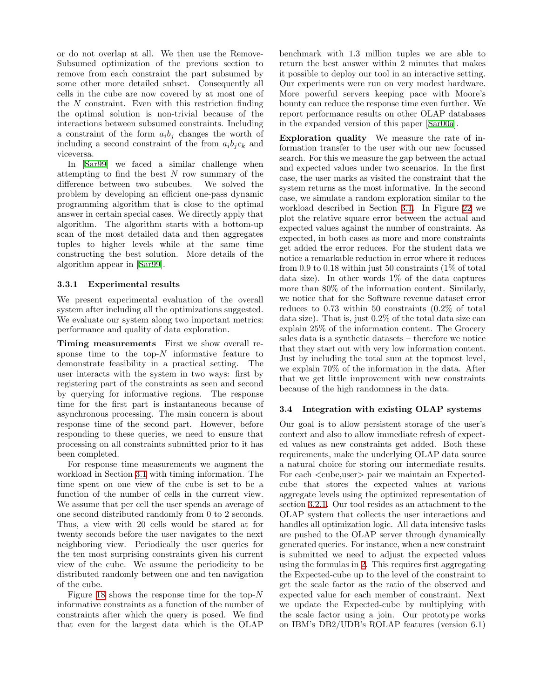or do not overlap at all. We then use the Remove-Subsumed optimization of the previous section to remove from each constraint the part subsumed by some other more detailed subset. Consequently all cells in the cube are now covered by at most one of the N constraint. Even with this restriction finding the optimal solution is non-trivial because of the interactions between subsumed constraints. Including a constraint of the form  $a_i b_j$  changes the worth of including a second constraint of the from  $a_i b_j c_k$  and viceversa.

In [\[Sar99\]](#page-9-9) we faced a similar challenge when attempting to find the best  $N$  row summary of the difference between two subcubes. We solved the problem by developing an efficient one-pass dynamic programming algorithm that is close to the optimal answer in certain special cases. We directly apply that algorithm. The algorithm starts with a bottom-up scan of the most detailed data and then aggregates tuples to higher levels while at the same time constructing the best solution. More details of the algorithm appear in[[Sar99\]](#page-9-9).

### 3.3.1 Experimental results

We present experimental evaluation of the overall system after including all the optimizations suggested. We evaluate our system along two important metrics: performance and quality of data exploration.

Timing measurements First we show overall response time to the top- $N$  informative feature to demonstrate feasibility in a practical setting. The user interacts with the system in two ways: first by registering part of the constraints as seen and second by querying for informative regions. The response time for the first part is instantaneous because of asynchronous processing. The main concern is about response time of the second part. However, before responding to these queries, we need to ensure that processing on all constraints submitted prior to it has been completed.

For response time measurements we augment the workload in Section [3.1](#page-3-2) with timing information. The time spent on one view of the cube is set to be a function of the number of cells in the current view. We assume that per cell the user spends an average of one second distributed randomly from 0 to 2 seconds. Thus, a view with 20 cells would be stared at for twenty seconds before the user navigates to the next neighboring view. Periodically the user queries for the ten most surprising constraints given his current view of the cube. We assume the periodicity to be distributed randomly between one and ten navigation of the cube.

Figure [18](#page-8-1) shows the response time for the top- $N$ informative constraints as a function of the number of constraints after which the query is posed. We find that even for the largest data which is the OLAP

benchmark with 1.3 million tuples we are able to return the best answer within 2 minutes that makes it possible to deploy our tool in an interactive setting. Our experiments were run on very modest hardware. More powerful servers keeping pace with Moore's bounty can reduce the response time even further. We report performance results on other OLAP databases in the expanded version of this paper[[Sar00a\]](#page-9-8).

Exploration quality We measure the rate of information transfer to the user with our new focussed search. For this we measure the gap between the actual and expected values under two scenarios. In the first case, the user marks as visited the constraint that the system returns as the most informative. In the second case, we simulate a random exploration similar to the workload described in Section [3.1.](#page-3-2) In Figure [22](#page-8-2) we plot the relative square error between the actual and expected values against the number of constraints. As expected, in both cases as more and more constraints get added the error reduces. For the student data we notice a remarkable reduction in error where it reduces from 0.9 to 0.18 within just 50 constraints  $(1\% \text{ of total})$ data size). In other words 1% of the data captures more than 80% of the information content. Similarly, we notice that for the Software revenue dataset error reduces to 0.73 within 50 constraints (0.2% of total data size). That is, just 0.2% of the total data size can explain 25% of the information content. The Grocery sales data is a synthetic datasets – therefore we notice that they start out with very low information content. Just by including the total sum at the topmost level, we explain 70% of the information in the data. After that we get little improvement with new constraints because of the high randomness in the data.

### <span id="page-7-0"></span>3.4 Integration with existing OLAP systems

Our goal is to allow persistent storage of the user's context and also to allow immediate refresh of expected values as new constraints get added. Both these requirements, make the underlying OLAP data source a natural choice for storing our intermediate results. For each  $\langle$ cube,user $\rangle$  pair we maintain an Expectedcube that stores the expected values at various aggregate levels using the optimized representation of section [3.2.1.](#page-4-1) Our tool resides as an attachment to the OLAP system that collects the user interactions and handles all optimization logic. All data intensive tasks are pushed to the OLAP server through dynamically generated queries. For instance, when a new constraint is submitted we need to adjust the expected values using the formulas in [2.](#page-1-1) This requires first aggregating the Expected-cube up to the level of the constraint to get the scale factor as the ratio of the observed and expected value for each member of constraint. Next we update the Expected-cube by multiplying with the scale factor using a join. Our prototype works on IBM's DB2/UDB's ROLAP features (version 6.1)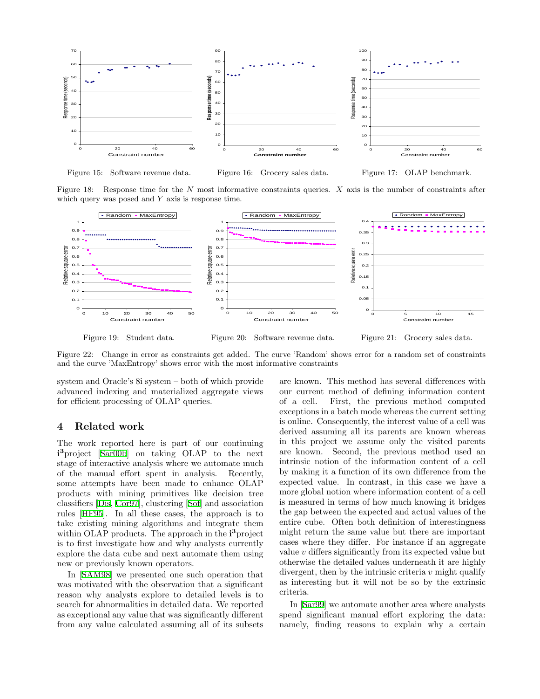

<span id="page-8-1"></span>Figure 15: Software revenue data.

Figure 16: Grocery sales data.



Figure 18: Response time for the  $N$  most informative constraints queries.  $X$  axis is the number of constraints after which query was posed and  $Y$  axis is response time.



<span id="page-8-2"></span>Figure 19: Student data.

Figure 20: Software revenue data.

Figure 21: Grocery sales data.

Figure 22: Change in error as constraints get added. The curve 'Random' shows error for a random set of constraints and the curve 'MaxEntropy' shows error with the most informative constraints

system and Oracle's 8i system – both of which provide advanced indexing and materialized aggregate views for efficient processing of OLAP queries.

### <span id="page-8-0"></span>4 Related work

The work reported here is part of our continuing i<sup>3</sup>project [[Sar00b\]](#page-9-10) on taking OLAP to the next stage of interactive analysis where we automate much of the manual effort spent in analysis. Recently, some attempts have been made to enhance OLAP products with mining primitives like decision tree classifiers [\[Dis](#page-9-11), [Cor97\]](#page-9-12), clustering [\[Sof\]](#page-9-13) and association rules[[HF95\]](#page-9-14). In all these cases, the approach is to take existing mining algorithms and integrate them within OLAP products. The approach in the i<sup>3</sup> project is to first investigate how and why analysts currently explore the data cube and next automate them using new or previously known operators.

In[[SAM98\]](#page-9-15) we presented one such operation that was motivated with the observation that a significant reason why analysts explore to detailed levels is to search for abnormalities in detailed data. We reported as exceptional any value that was significantly different from any value calculated assuming all of its subsets

are known. This method has several differences with our current method of defining information content of a cell. First, the previous method computed exceptions in a batch mode whereas the current setting is online. Consequently, the interest value of a cell was derived assuming all its parents are known whereas in this project we assume only the visited parents are known. Second, the previous method used an intrinsic notion of the information content of a cell by making it a function of its own difference from the expected value. In contrast, in this case we have a more global notion where information content of a cell is measured in terms of how much knowing it bridges the gap between the expected and actual values of the entire cube. Often both definition of interestingness might return the same value but there are important cases where they differ. For instance if an aggregate value v differs significantly from its expected value but otherwise the detailed values underneath it are highly divergent, then by the intrinsic criteria  $v$  might qualify as interesting but it will not be so by the extrinsic criteria.

In [\[Sar99\]](#page-9-9) we automate another area where analysts spend significant manual effort exploring the data: namely, finding reasons to explain why a certain